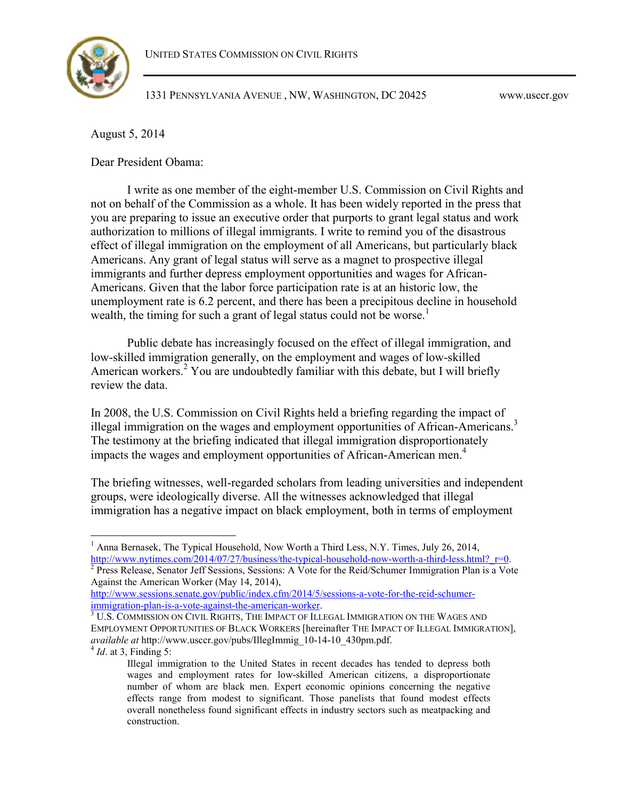

1331 PENNSYLVANIA AVENUE , NW, WASHINGTON, DC 20425 www.usccr.gov

August 5, 2014

Dear President Obama:

I write as one member of the eight-member U.S. Commission on Civil Rights and not on behalf of the Commission as a whole. It has been widely reported in the press that you are preparing to issue an executive order that purports to grant legal status and work authorization to millions of illegal immigrants. I write to remind you of the disastrous effect of illegal immigration on the employment of all Americans, but particularly black Americans. Any grant of legal status will serve as a magnet to prospective illegal immigrants and further depress employment opportunities and wages for African-Americans. Given that the labor force participation rate is at an historic low, the unemployment rate is 6.2 percent, and there has been a precipitous decline in household wealth, the timing for such a grant of legal status could not be worse.<sup>1</sup>

Public debate has increasingly focused on the effect of illegal immigration, and low-skilled immigration generally, on the employment and wages of low-skilled American workers.<sup>2</sup> You are undoubtedly familiar with this debate, but I will briefly review the data.

In 2008, the U.S. Commission on Civil Rights held a briefing regarding the impact of illegal immigration on the wages and employment opportunities of African-Americans.<sup>3</sup> The testimony at the briefing indicated that illegal immigration disproportionately impacts the wages and employment opportunities of African-American men.<sup>4</sup>

The briefing witnesses, well-regarded scholars from leading universities and independent groups, were ideologically diverse. All the witnesses acknowledged that illegal immigration has a negative impact on black employment, both in terms of employment

 $\frac{1}{2}$  Press Release, Senator Jeff Sessions, Sessions: A Vote for the Reid/Schumer Immigration Plan is a Vote Against the American Worker (May 14, 2014),

<sup>&</sup>lt;sup>1</sup> Anna Bernasek, The Typical Household, Now Worth a Third Less, N.Y. Times, July 26, 2014,  $\frac{http://www.nytimes.com/2014/07/27/business/he-typeical-housedhold-nowworth-a-third-less.html?$   $r=0$ .

http://www.sessions.senate.gov/public/index.cfm/2014/5/sessions-a-vote-for-the-reid-schumerimmigration-plan-is-a-vote-against-the-american-worker.

<sup>&</sup>lt;sup>3</sup> U.S. COMMISSION ON CIVIL RIGHTS, THE IMPACT OF ILLEGAL IMMIGRATION ON THE WAGES AND EMPLOYMENT OPPORTUNITIES OF BLACK WORKERS [hereinafter THE IMPACT OF ILLEGAL IMMIGRATION], *available at* http://www.usccr.gov/pubs/IllegImmig\_10-14-10\_430pm.pdf. <sup>4</sup> *Id*. at 3, Finding 5:

Illegal immigration to the United States in recent decades has tended to depress both wages and employment rates for low-skilled American citizens, a disproportionate number of whom are black men. Expert economic opinions concerning the negative effects range from modest to significant. Those panelists that found modest effects overall nonetheless found significant effects in industry sectors such as meatpacking and construction.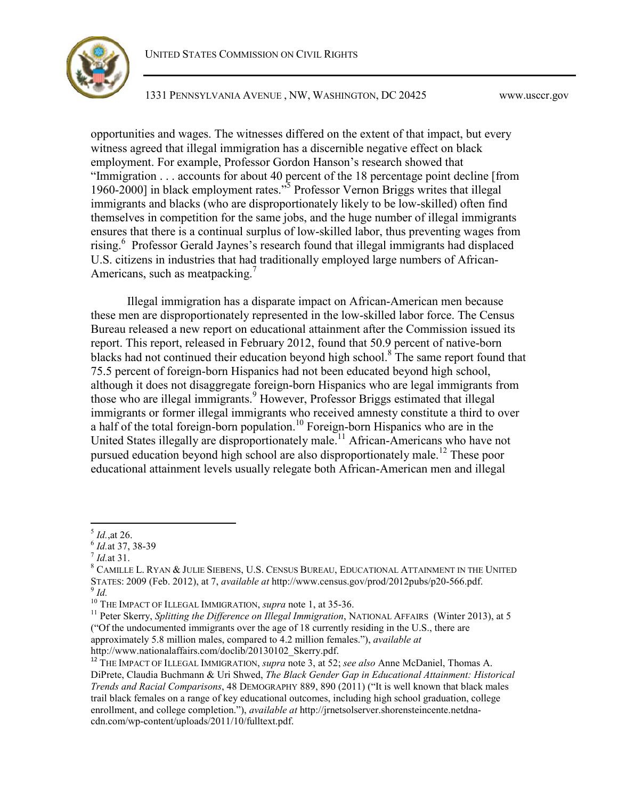

1331 PENNSYLVANIA AVENUE , NW, WASHINGTON, DC 20425 www.usccr.gov

opportunities and wages. The witnesses differed on the extent of that impact, but every witness agreed that illegal immigration has a discernible negative effect on black employment. For example, Professor Gordon Hanson's research showed that "Immigration . . . accounts for about 40 percent of the 18 percentage point decline [from 1960-2000] in black employment rates.<sup> $35$ </sup> Professor Vernon Briggs writes that illegal immigrants and blacks (who are disproportionately likely to be low-skilled) often find themselves in competition for the same jobs, and the huge number of illegal immigrants ensures that there is a continual surplus of low-skilled labor, thus preventing wages from rising.<sup>6</sup> Professor Gerald Jaynes's research found that illegal immigrants had displaced U.S. citizens in industries that had traditionally employed large numbers of African-Americans, such as meatpacking.<sup>7</sup>

Illegal immigration has a disparate impact on African-American men because these men are disproportionately represented in the low-skilled labor force. The Census Bureau released a new report on educational attainment after the Commission issued its report. This report, released in February 2012, found that 50.9 percent of native-born blacks had not continued their education beyond high school.<sup>8</sup> The same report found that 75.5 percent of foreign-born Hispanics had not been educated beyond high school, although it does not disaggregate foreign-born Hispanics who are legal immigrants from those who are illegal immigrants.<sup>9</sup> However, Professor Briggs estimated that illegal immigrants or former illegal immigrants who received amnesty constitute a third to over a half of the total foreign-born population.<sup>10</sup> Foreign-born Hispanics who are in the United States illegally are disproportionately male.<sup>11</sup> African-Americans who have not pursued education beyond high school are also disproportionately male.<sup>12</sup> These poor educational attainment levels usually relegate both African-American men and illegal

<sup>&</sup>lt;sup>5</sup> *Id.*,at 26.<br><sup>6</sup> *Id.*at 37, 38-39<br><sup>7</sup> *Id.*at 31. 8 CAMILLE L. RYAN & JULIE SIEBENS, U.S. CENSUS BUREAU, EDUCATIONAL ATTAINMENT IN THE UNITED STATES: 2009 (Feb. 2012), at 7, *available at* http://www.census.gov/prod/2012pubs/p20-566.pdf.<br>
<sup>9</sup> *Id.*<br>
<sup>10</sup> THE IMPACT OF ILLEGAL IMMIGRATION, *supra* note 1, at 35-36.

<sup>&</sup>lt;sup>11</sup> Peter Skerry, *Splitting the Difference on Illegal Immigration*, NATIONAL AFFAIRS (Winter 2013), at 5 ("Of the undocumented immigrants over the age of 18 currently residing in the U.S., there are approximately 5.8 million males, compared to 4.2 million females."), *available at* http://www.nationalaffairs.com/doclib/20130102\_Skerry.pdf.

<sup>&</sup>lt;sup>12</sup> THE IMPACT OF ILLEGAL IMMIGRATION, *supra* note 3, at 52; *see also* Anne McDaniel, Thomas A. DiPrete, Claudia Buchmann & Uri Shwed, *The Black Gender Gap in Educational Attainment: Historical Trends and Racial Comparisons*, 48 DEMOGRAPHY 889, 890 (2011) ("It is well known that black males trail black females on a range of key educational outcomes, including high school graduation, college enrollment, and college completion."), *available at* http://jrnetsolserver.shorensteincente.netdnacdn.com/wp-content/uploads/2011/10/fulltext.pdf.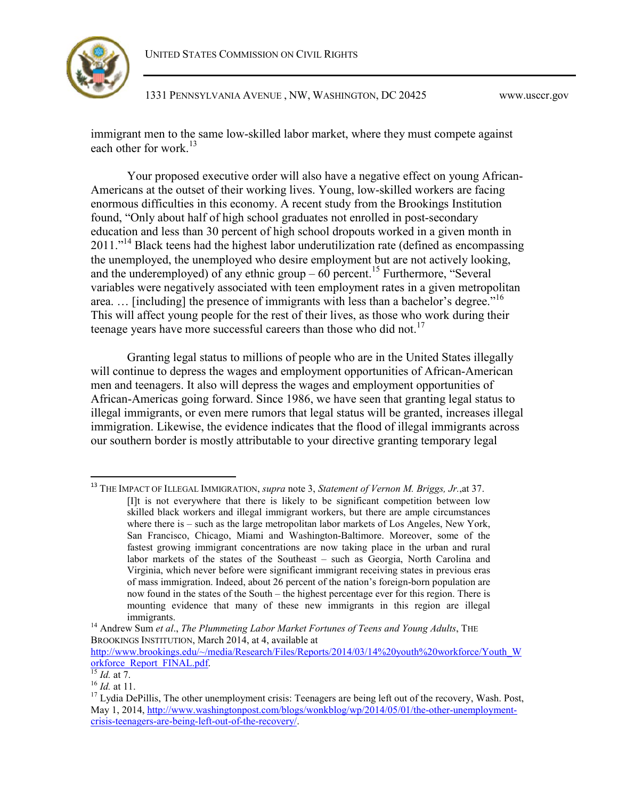UNITED STATES COMMISSION ON CIVIL RIGHTS



1331 PENNSYLVANIA AVENUE , NW, WASHINGTON, DC 20425 www.usccr.gov

immigrant men to the same low-skilled labor market, where they must compete against each other for work.<sup>13</sup>

Your proposed executive order will also have a negative effect on young African-Americans at the outset of their working lives. Young, low-skilled workers are facing enormous difficulties in this economy. A recent study from the Brookings Institution found, "Only about half of high school graduates not enrolled in post-secondary education and less than 30 percent of high school dropouts worked in a given month in  $2011$ ."<sup>14</sup> Black teens had the highest labor underutilization rate (defined as encompassing the unemployed, the unemployed who desire employment but are not actively looking, and the underemployed) of any ethnic group  $-60$  percent.<sup>15</sup> Furthermore, "Several variables were negatively associated with teen employment rates in a given metropolitan area.  $\ldots$  [including] the presence of immigrants with less than a bachelor's degree."<sup>16</sup> This will affect young people for the rest of their lives, as those who work during their teenage years have more successful careers than those who did not.<sup>17</sup>

Granting legal status to millions of people who are in the United States illegally will continue to depress the wages and employment opportunities of African-American men and teenagers. It also will depress the wages and employment opportunities of African-Americas going forward. Since 1986, we have seen that granting legal status to illegal immigrants, or even mere rumors that legal status will be granted, increases illegal immigration. Likewise, the evidence indicates that the flood of illegal immigrants across our southern border is mostly attributable to your directive granting temporary legal

<sup>13</sup>THE IMPACT OF ILLEGAL IMMIGRATION, *supra* note 3, *Statement of Vernon M. Briggs, Jr.*,at 37. [I]t is not everywhere that there is likely to be significant competition between low skilled black workers and illegal immigrant workers, but there are ample circumstances where there is – such as the large metropolitan labor markets of Los Angeles, New York, San Francisco, Chicago, Miami and Washington-Baltimore. Moreover, some of the fastest growing immigrant concentrations are now taking place in the urban and rural labor markets of the states of the Southeast – such as Georgia, North Carolina and Virginia, which never before were significant immigrant receiving states in previous eras of mass immigration. Indeed, about 26 percent of the nation's foreign-born population are now found in the states of the South – the highest percentage ever for this region. There is mounting evidence that many of these new immigrants in this region are illegal

immigrants. <sup>14</sup> Andrew Sum *et al*., *The Plummeting Labor Market Fortunes of Teens and Young Adults*, THE BROOKINGS INSTITUTION, March 2014, at 4, available at

http://www.brookings.edu/~/media/Research/Files/Reports/2014/03/14%20youth%20workforce/Youth\_W orkforce\_Report\_FINAL.pdf. <sup>15</sup> *Id.* at 7.

<sup>16</sup> *Id.* at 11.

<sup>&</sup>lt;sup>16</sup> *Id.* at 11.<br><sup>17</sup> Lydia DePillis, The other unemployment crisis: Teenagers are being left out of the recovery, Wash. Post, May 1, 2014, http://www.washingtonpost.com/blogs/wonkblog/wp/2014/05/01/the-other-unemploymentcrisis-teenagers-are-being-left-out-of-the-recovery/.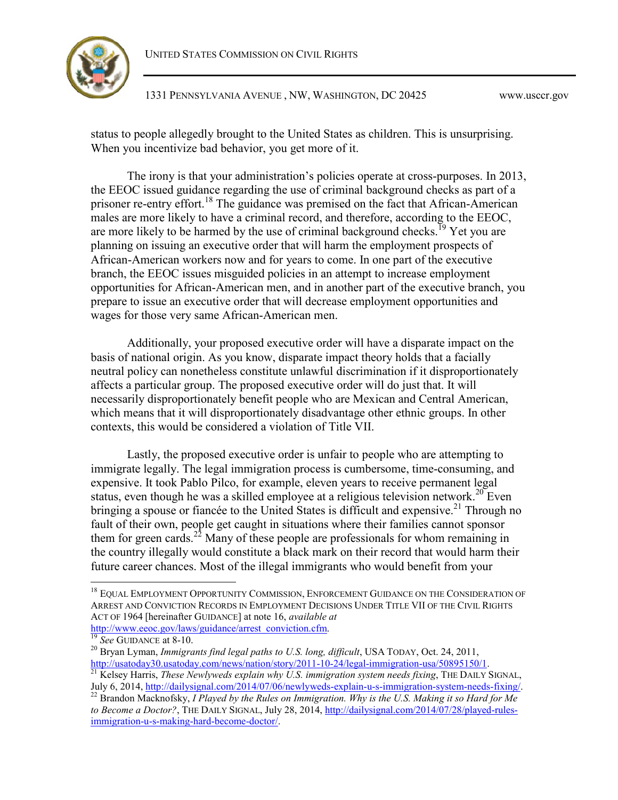UNITED STATES COMMISSION ON CIVIL RIGHTS



1331 PENNSYLVANIA AVENUE , NW, WASHINGTON, DC 20425 www.usccr.gov

status to people allegedly brought to the United States as children. This is unsurprising. When you incentivize bad behavior, you get more of it.

The irony is that your administration's policies operate at cross-purposes. In 2013, the EEOC issued guidance regarding the use of criminal background checks as part of a prisoner re-entry effort.<sup>18</sup> The guidance was premised on the fact that African-American males are more likely to have a criminal record, and therefore, according to the EEOC, are more likely to be harmed by the use of criminal background checks.<sup>19</sup> Yet you are planning on issuing an executive order that will harm the employment prospects of African-American workers now and for years to come. In one part of the executive branch, the EEOC issues misguided policies in an attempt to increase employment opportunities for African-American men, and in another part of the executive branch, you prepare to issue an executive order that will decrease employment opportunities and wages for those very same African-American men.

Additionally, your proposed executive order will have a disparate impact on the basis of national origin. As you know, disparate impact theory holds that a facially neutral policy can nonetheless constitute unlawful discrimination if it disproportionately affects a particular group. The proposed executive order will do just that. It will necessarily disproportionately benefit people who are Mexican and Central American, which means that it will disproportionately disadvantage other ethnic groups. In other contexts, this would be considered a violation of Title VII.

Lastly, the proposed executive order is unfair to people who are attempting to immigrate legally. The legal immigration process is cumbersome, time-consuming, and expensive. It took Pablo Pilco, for example, eleven years to receive permanent legal status, even though he was a skilled employee at a religious television network.<sup>20</sup> Even bringing a spouse or fiancée to the United States is difficult and expensive.<sup>21</sup> Through no fault of their own, people get caught in situations where their families cannot sponsor them for green cards.<sup>22</sup> Many of these people are professionals for whom remaining in the country illegally would constitute a black mark on their record that would harm their future career chances. Most of the illegal immigrants who would benefit from your

<sup>&</sup>lt;sup>18</sup> EQUAL EMPLOYMENT OPPORTUNITY COMMISSION, ENFORCEMENT GUIDANCE ON THE CONSIDERATION OF ARREST AND CONVICTION RECORDS IN EMPLOYMENT DECISIONS UNDER TITLE VII OF THE CIVIL RIGHTS ACT OF 1964 [hereinafter GUIDANCE] at note 16, *available at*

http://www.eeoc.gov/laws/guidance/arrest\_conviction.cfm.<br><sup>19</sup> *See* GUIDANCE at 8-10.

<sup>20</sup> Bryan Lyman, *Immigrants find legal paths to U.S. long, difficult*, USA TODAY, Oct. 24, 2011, http://usatoday30.usatoday.com/news/nation/story/2011-10-24/legal-immigration-usa/50895150/1.

<sup>21</sup> Kelsey Harris, *These Newlyweds explain why U.S. immigration system needs fixing*, THE DAILY SIGNAL, July 6, 2014, http://dailysignal.com/2014/07/06/newlyweds-explain-u-s-immigration-system-needs-fixing/. <sup>22</sup> Brandon Macknofsky, *<sup>I</sup> Played by the Rules on Immigration. Why is the U.S. Making it so Hard for Me*

*to Become a Doctor?*, THE DAILY SIGNAL, July 28, 2014, http://dailysignal.com/2014/07/28/played-rulesimmigration-u-s-making-hard-become-doctor/.